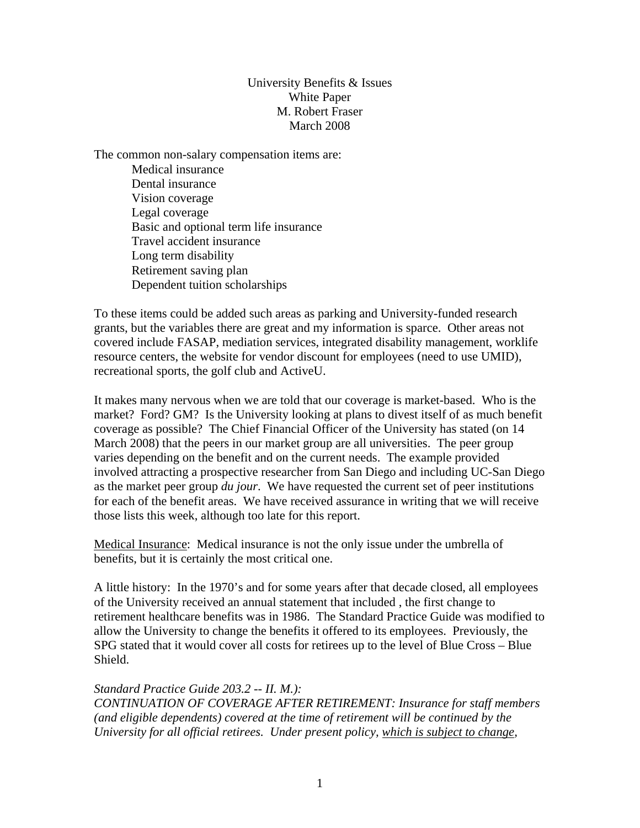# University Benefits & Issues White Paper M. Robert Fraser March 2008

The common non-salary compensation items are: Medical insurance Dental insurance Vision coverage Legal coverage Basic and optional term life insurance Travel accident insurance Long term disability Retirement saving plan Dependent tuition scholarships

To these items could be added such areas as parking and University-funded research grants, but the variables there are great and my information is sparce. Other areas not covered include FASAP, mediation services, integrated disability management, worklife resource centers, the website for vendor discount for employees (need to use UMID), recreational sports, the golf club and ActiveU.

It makes many nervous when we are told that our coverage is market-based. Who is the market? Ford? GM? Is the University looking at plans to divest itself of as much benefit coverage as possible? The Chief Financial Officer of the University has stated (on 14 March 2008) that the peers in our market group are all universities. The peer group varies depending on the benefit and on the current needs. The example provided involved attracting a prospective researcher from San Diego and including UC-San Diego as the market peer group *du jour*. We have requested the current set of peer institutions for each of the benefit areas. We have received assurance in writing that we will receive those lists this week, although too late for this report.

Medical Insurance: Medical insurance is not the only issue under the umbrella of benefits, but it is certainly the most critical one.

A little history: In the 1970's and for some years after that decade closed, all employees of the University received an annual statement that included , the first change to retirement healthcare benefits was in 1986. The Standard Practice Guide was modified to allow the University to change the benefits it offered to its employees. Previously, the SPG stated that it would cover all costs for retirees up to the level of Blue Cross – Blue Shield.

# *Standard Practice Guide 203.2 -- II. M.):*

*CONTINUATION OF COVERAGE AFTER RETIREMENT: Insurance for staff members (and eligible dependents) covered at the time of retirement will be continued by the University for all official retirees. Under present policy, which is subject to change,*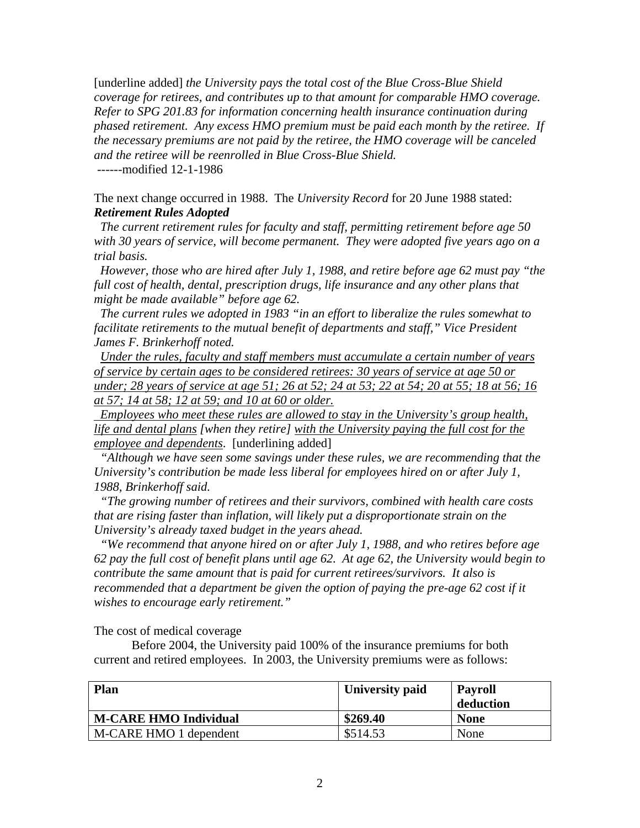[underline added] *the University pays the total cost of the Blue Cross-Blue Shield coverage for retirees, and contributes up to that amount for comparable HMO coverage. Refer to SPG 201.83 for information concerning health insurance continuation during phased retirement. Any excess HMO premium must be paid each month by the retiree. If the necessary premiums are not paid by the retiree, the HMO coverage will be canceled and the retiree will be reenrolled in Blue Cross-Blue Shield.* 

------modified 12-1-1986

The next change occurred in 1988. The *University Record* for 20 June 1988 stated: *Retirement Rules Adopted* 

 *The current retirement rules for faculty and staff, permitting retirement before age 50 with 30 years of service, will become permanent. They were adopted five years ago on a trial basis.* 

 *However, those who are hired after July 1, 1988, and retire before age 62 must pay "the full cost of health, dental, prescription drugs, life insurance and any other plans that might be made available" before age 62.* 

 *The current rules we adopted in 1983 "in an effort to liberalize the rules somewhat to facilitate retirements to the mutual benefit of departments and staff," Vice President James F. Brinkerhoff noted.* 

 *Under the rules, faculty and staff members must accumulate a certain number of years of service by certain ages to be considered retirees: 30 years of service at age 50 or under; 28 years of service at age 51; 26 at 52; 24 at 53; 22 at 54; 20 at 55; 18 at 56; 16 at 57; 14 at 58; 12 at 59; and 10 at 60 or older.*

 *Employees who meet these rules are allowed to stay in the University's group health, life and dental plans [when they retire] with the University paying the full cost for the employee and dependents*. [underlining added]

 *"Although we have seen some savings under these rules, we are recommending that the University's contribution be made less liberal for employees hired on or after July 1, 1988, Brinkerhoff said.* 

 *"The growing number of retirees and their survivors, combined with health care costs that are rising faster than inflation, will likely put a disproportionate strain on the University's already taxed budget in the years ahead.* 

 *"We recommend that anyone hired on or after July 1, 1988, and who retires before age 62 pay the full cost of benefit plans until age 62. At age 62, the University would begin to contribute the same amount that is paid for current retirees/survivors. It also is recommended that a department be given the option of paying the pre-age 62 cost if it wishes to encourage early retirement."* 

The cost of medical coverage

Before 2004, the University paid 100% of the insurance premiums for both current and retired employees. In 2003, the University premiums were as follows:

| <b>Plan</b>                  | University paid | Payroll<br>deduction |
|------------------------------|-----------------|----------------------|
| <b>M-CARE HMO Individual</b> | \$269.40        | <b>None</b>          |
| M-CARE HMO 1 dependent       | \$514.53        | None                 |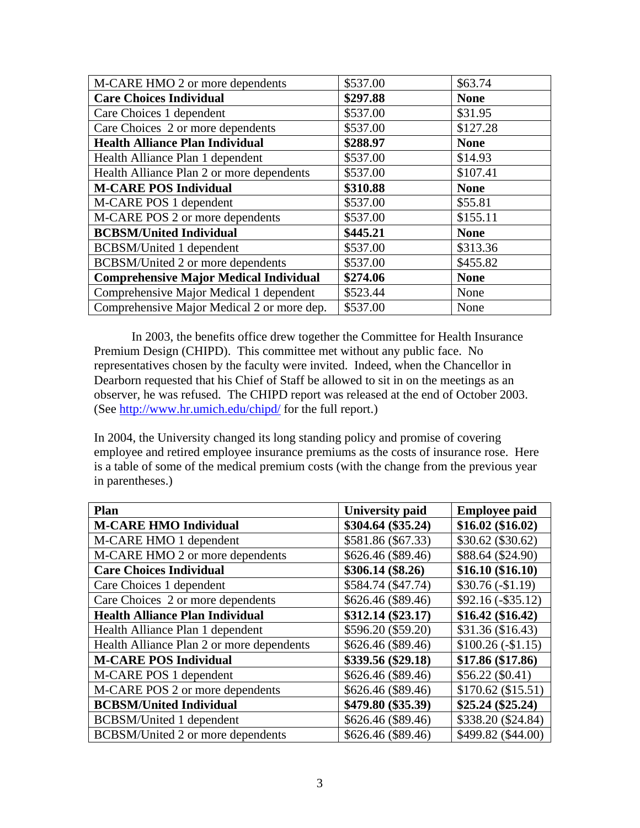| M-CARE HMO 2 or more dependents               | \$537.00 | \$63.74     |
|-----------------------------------------------|----------|-------------|
| <b>Care Choices Individual</b>                | \$297.88 | <b>None</b> |
| Care Choices 1 dependent                      | \$537.00 | \$31.95     |
| Care Choices 2 or more dependents             | \$537.00 | \$127.28    |
| <b>Health Alliance Plan Individual</b>        | \$288.97 | <b>None</b> |
| Health Alliance Plan 1 dependent              | \$537.00 | \$14.93     |
| Health Alliance Plan 2 or more dependents     | \$537.00 | \$107.41    |
| <b>M-CARE POS Individual</b>                  | \$310.88 | <b>None</b> |
| M-CARE POS 1 dependent                        | \$537.00 | \$55.81     |
| M-CARE POS 2 or more dependents               | \$537.00 | \$155.11    |
| <b>BCBSM/United Individual</b>                | \$445.21 | <b>None</b> |
| BCBSM/United 1 dependent                      | \$537.00 | \$313.36    |
| BCBSM/United 2 or more dependents             | \$537.00 | \$455.82    |
| <b>Comprehensive Major Medical Individual</b> | \$274.06 | <b>None</b> |
| Comprehensive Major Medical 1 dependent       | \$523.44 | None        |
| Comprehensive Major Medical 2 or more dep.    | \$537.00 | None        |

In 2003, the benefits office drew together the Committee for Health Insurance Premium Design (CHIPD). This committee met without any public face. No representatives chosen by the faculty were invited. Indeed, when the Chancellor in Dearborn requested that his Chief of Staff be allowed to sit in on the meetings as an observer, he was refused. The CHIPD report was released at the end of October 2003. (See http://www.hr.umich.edu/chipd/ for the full report.)

In 2004, the University changed its long standing policy and promise of covering employee and retired employee insurance premiums as the costs of insurance rose. Here is a table of some of the medical premium costs (with the change from the previous year in parentheses.)

| Plan                                      | <b>University paid</b> | <b>Employee paid</b> |
|-------------------------------------------|------------------------|----------------------|
| <b>M-CARE HMO Individual</b>              | \$304.64 (\$35.24)     | \$16.02 (\$16.02)    |
| M-CARE HMO 1 dependent                    | \$581.86 (\$67.33)     | \$30.62 (\$30.62)    |
| M-CARE HMO 2 or more dependents           | \$626.46 (\$89.46)     | \$88.64 (\$24.90)    |
| <b>Care Choices Individual</b>            | \$306.14 (\$8.26)      | \$16.10 (\$16.10)    |
| Care Choices 1 dependent                  | \$584.74 (\$47.74)     | $$30.76 (-11.19)$    |
| Care Choices 2 or more dependents         | \$626.46 (\$89.46)     | $$92.16 (-$35.12)$   |
| <b>Health Alliance Plan Individual</b>    | \$312.14 (\$23.17)     | \$16.42 (\$16.42)    |
| Health Alliance Plan 1 dependent          | \$596.20 (\$59.20)     | \$31.36 (\$16.43)    |
| Health Alliance Plan 2 or more dependents | \$626.46 (\$89.46)     | $$100.26 (-11.15)$   |
| <b>M-CARE POS Individual</b>              | \$339.56 (\$29.18)     | \$17.86 (\$17.86)    |
| M-CARE POS 1 dependent                    | \$626.46 (\$89.46)     | \$56.22 (\$0.41)     |
| M-CARE POS 2 or more dependents           | \$626.46 (\$89.46)     | \$170.62 (\$15.51)   |
| <b>BCBSM/United Individual</b>            | \$479.80 (\$35.39)     | \$25.24 (\$25.24)    |
| BCBSM/United 1 dependent                  | \$626.46 (\$89.46)     | \$338.20 (\$24.84)   |
| BCBSM/United 2 or more dependents         | \$626.46 (\$89.46)     | \$499.82 (\$44.00)   |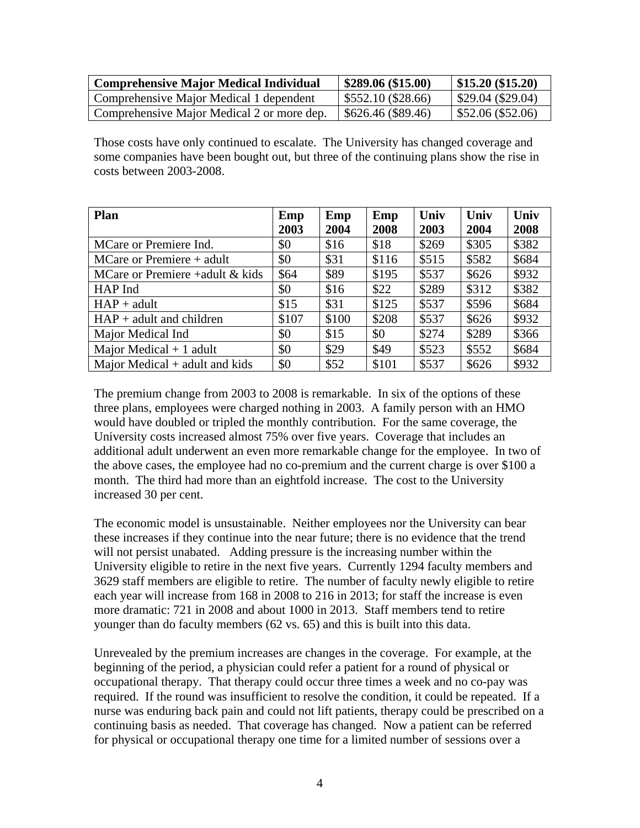| <b>Comprehensive Major Medical Individual</b> | \$289.06 (\$15.00) | $\vert$ \$15.20 (\$15.20) |
|-----------------------------------------------|--------------------|---------------------------|
| Comprehensive Major Medical 1 dependent       | \$552.10 (\$28.66) | $\vert$ \$29.04 (\$29.04) |
| Comprehensive Major Medical 2 or more dep.    | \$626.46 (\$89.46) | $\vert$ \$52.06 (\$52.06) |

Those costs have only continued to escalate. The University has changed coverage and some companies have been bought out, but three of the continuing plans show the rise in costs between 2003-2008.

| <b>Plan</b>                       | Emp   | Emp   | Emp   | Univ  | Univ  | Univ  |
|-----------------------------------|-------|-------|-------|-------|-------|-------|
|                                   | 2003  | 2004  | 2008  | 2003  | 2004  | 2008  |
| MCare or Premiere Ind.            | \$0   | \$16  | \$18  | \$269 | \$305 | \$382 |
| $MC$ are or Premiere + adult      | \$0   | \$31  | \$116 | \$515 | \$582 | \$684 |
| MCare or Premiere +adult $&$ kids | \$64  | \$89  | \$195 | \$537 | \$626 | \$932 |
| HAP Ind                           | \$0   | \$16  | \$22  | \$289 | \$312 | \$382 |
| $HAP + adult$                     | \$15  | \$31  | \$125 | \$537 | \$596 | \$684 |
| $HAP + adult$ and children        | \$107 | \$100 | \$208 | \$537 | \$626 | \$932 |
| Major Medical Ind                 | \$0   | \$15  | \$0   | \$274 | \$289 | \$366 |
| Major Medical $+1$ adult          | \$0   | \$29  | \$49  | \$523 | \$552 | \$684 |
| Major Medical $+$ adult and kids  | \$0   | \$52  | \$101 | \$537 | \$626 | \$932 |

The premium change from 2003 to 2008 is remarkable. In six of the options of these three plans, employees were charged nothing in 2003. A family person with an HMO would have doubled or tripled the monthly contribution. For the same coverage, the University costs increased almost 75% over five years. Coverage that includes an additional adult underwent an even more remarkable change for the employee. In two of the above cases, the employee had no co-premium and the current charge is over \$100 a month. The third had more than an eightfold increase. The cost to the University increased 30 per cent.

The economic model is unsustainable. Neither employees nor the University can bear these increases if they continue into the near future; there is no evidence that the trend will not persist unabated. Adding pressure is the increasing number within the University eligible to retire in the next five years. Currently 1294 faculty members and 3629 staff members are eligible to retire. The number of faculty newly eligible to retire each year will increase from 168 in 2008 to 216 in 2013; for staff the increase is even more dramatic: 721 in 2008 and about 1000 in 2013. Staff members tend to retire younger than do faculty members (62 vs. 65) and this is built into this data.

Unrevealed by the premium increases are changes in the coverage. For example, at the beginning of the period, a physician could refer a patient for a round of physical or occupational therapy. That therapy could occur three times a week and no co-pay was required. If the round was insufficient to resolve the condition, it could be repeated. If a nurse was enduring back pain and could not lift patients, therapy could be prescribed on a continuing basis as needed. That coverage has changed. Now a patient can be referred for physical or occupational therapy one time for a limited number of sessions over a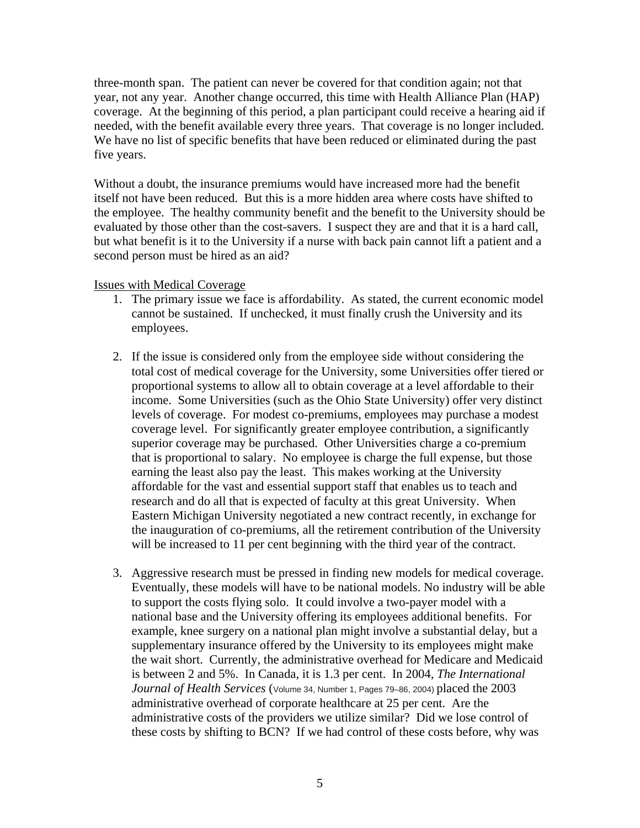three-month span. The patient can never be covered for that condition again; not that year, not any year. Another change occurred, this time with Health Alliance Plan (HAP) coverage. At the beginning of this period, a plan participant could receive a hearing aid if needed, with the benefit available every three years. That coverage is no longer included. We have no list of specific benefits that have been reduced or eliminated during the past five years.

Without a doubt, the insurance premiums would have increased more had the benefit itself not have been reduced. But this is a more hidden area where costs have shifted to the employee. The healthy community benefit and the benefit to the University should be evaluated by those other than the cost-savers. I suspect they are and that it is a hard call, but what benefit is it to the University if a nurse with back pain cannot lift a patient and a second person must be hired as an aid?

# Issues with Medical Coverage

- 1. The primary issue we face is affordability. As stated, the current economic model cannot be sustained. If unchecked, it must finally crush the University and its employees.
- 2. If the issue is considered only from the employee side without considering the total cost of medical coverage for the University, some Universities offer tiered or proportional systems to allow all to obtain coverage at a level affordable to their income. Some Universities (such as the Ohio State University) offer very distinct levels of coverage. For modest co-premiums, employees may purchase a modest coverage level. For significantly greater employee contribution, a significantly superior coverage may be purchased. Other Universities charge a co-premium that is proportional to salary. No employee is charge the full expense, but those earning the least also pay the least. This makes working at the University affordable for the vast and essential support staff that enables us to teach and research and do all that is expected of faculty at this great University. When Eastern Michigan University negotiated a new contract recently, in exchange for the inauguration of co-premiums, all the retirement contribution of the University will be increased to 11 per cent beginning with the third year of the contract.
- 3. Aggressive research must be pressed in finding new models for medical coverage. Eventually, these models will have to be national models. No industry will be able to support the costs flying solo. It could involve a two-payer model with a national base and the University offering its employees additional benefits. For example, knee surgery on a national plan might involve a substantial delay, but a supplementary insurance offered by the University to its employees might make the wait short. Currently, the administrative overhead for Medicare and Medicaid is between 2 and 5%. In Canada, it is 1.3 per cent. In 2004, *The International Journal of Health Services* (Volume 34, Number 1, Pages 79–86, 2004) placed the 2003 administrative overhead of corporate healthcare at 25 per cent. Are the administrative costs of the providers we utilize similar? Did we lose control of these costs by shifting to BCN? If we had control of these costs before, why was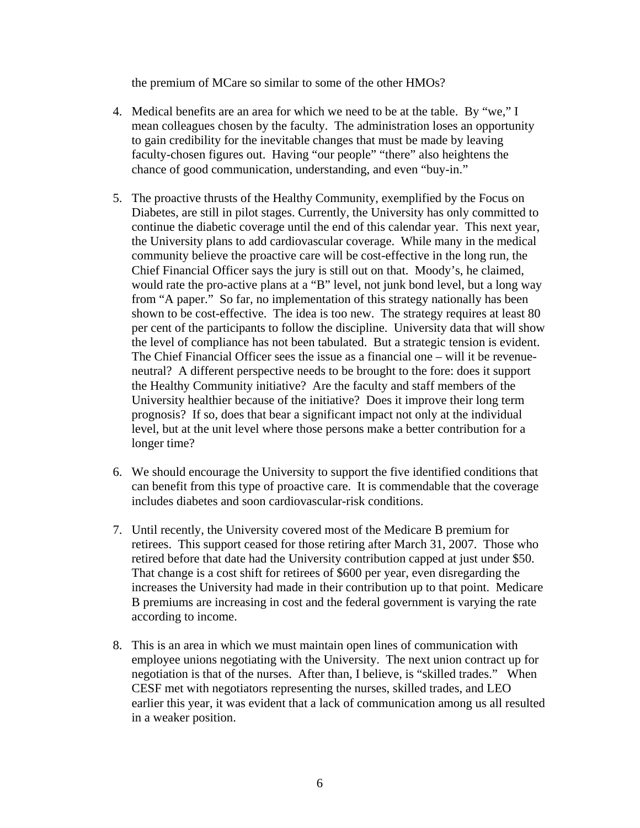the premium of MCare so similar to some of the other HMOs?

- 4. Medical benefits are an area for which we need to be at the table. By "we," I mean colleagues chosen by the faculty. The administration loses an opportunity to gain credibility for the inevitable changes that must be made by leaving faculty-chosen figures out. Having "our people" "there" also heightens the chance of good communication, understanding, and even "buy-in."
- 5. The proactive thrusts of the Healthy Community, exemplified by the Focus on Diabetes, are still in pilot stages. Currently, the University has only committed to continue the diabetic coverage until the end of this calendar year. This next year, the University plans to add cardiovascular coverage. While many in the medical community believe the proactive care will be cost-effective in the long run, the Chief Financial Officer says the jury is still out on that. Moody's, he claimed, would rate the pro-active plans at a "B" level, not junk bond level, but a long way from "A paper." So far, no implementation of this strategy nationally has been shown to be cost-effective. The idea is too new. The strategy requires at least 80 per cent of the participants to follow the discipline. University data that will show the level of compliance has not been tabulated. But a strategic tension is evident. The Chief Financial Officer sees the issue as a financial one – will it be revenueneutral? A different perspective needs to be brought to the fore: does it support the Healthy Community initiative? Are the faculty and staff members of the University healthier because of the initiative? Does it improve their long term prognosis? If so, does that bear a significant impact not only at the individual level, but at the unit level where those persons make a better contribution for a longer time?
- 6. We should encourage the University to support the five identified conditions that can benefit from this type of proactive care. It is commendable that the coverage includes diabetes and soon cardiovascular-risk conditions.
- 7. Until recently, the University covered most of the Medicare B premium for retirees. This support ceased for those retiring after March 31, 2007. Those who retired before that date had the University contribution capped at just under \$50. That change is a cost shift for retirees of \$600 per year, even disregarding the increases the University had made in their contribution up to that point. Medicare B premiums are increasing in cost and the federal government is varying the rate according to income.
- 8. This is an area in which we must maintain open lines of communication with employee unions negotiating with the University. The next union contract up for negotiation is that of the nurses. After than, I believe, is "skilled trades." When CESF met with negotiators representing the nurses, skilled trades, and LEO earlier this year, it was evident that a lack of communication among us all resulted in a weaker position.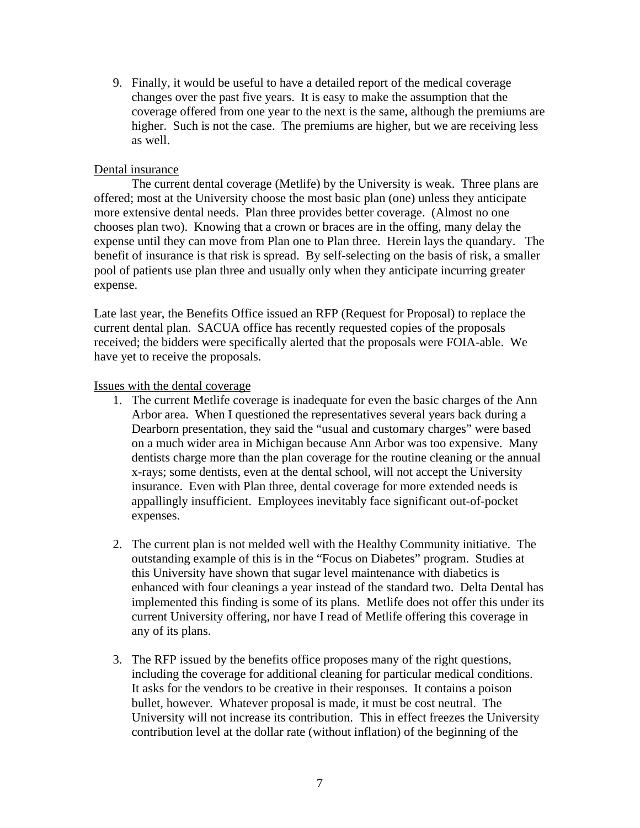9. Finally, it would be useful to have a detailed report of the medical coverage changes over the past five years. It is easy to make the assumption that the coverage offered from one year to the next is the same, although the premiums are higher. Such is not the case. The premiums are higher, but we are receiving less as well.

# Dental insurance

 The current dental coverage (Metlife) by the University is weak. Three plans are offered; most at the University choose the most basic plan (one) unless they anticipate more extensive dental needs. Plan three provides better coverage. (Almost no one chooses plan two). Knowing that a crown or braces are in the offing, many delay the expense until they can move from Plan one to Plan three. Herein lays the quandary. The benefit of insurance is that risk is spread. By self-selecting on the basis of risk, a smaller pool of patients use plan three and usually only when they anticipate incurring greater expense.

Late last year, the Benefits Office issued an RFP (Request for Proposal) to replace the current dental plan. SACUA office has recently requested copies of the proposals received; the bidders were specifically alerted that the proposals were FOIA-able. We have yet to receive the proposals.

# Issues with the dental coverage

- 1. The current Metlife coverage is inadequate for even the basic charges of the Ann Arbor area. When I questioned the representatives several years back during a Dearborn presentation, they said the "usual and customary charges" were based on a much wider area in Michigan because Ann Arbor was too expensive. Many dentists charge more than the plan coverage for the routine cleaning or the annual x-rays; some dentists, even at the dental school, will not accept the University insurance. Even with Plan three, dental coverage for more extended needs is appallingly insufficient. Employees inevitably face significant out-of-pocket expenses.
- 2. The current plan is not melded well with the Healthy Community initiative. The outstanding example of this is in the "Focus on Diabetes" program. Studies at this University have shown that sugar level maintenance with diabetics is enhanced with four cleanings a year instead of the standard two. Delta Dental has implemented this finding is some of its plans. Metlife does not offer this under its current University offering, nor have I read of Metlife offering this coverage in any of its plans.
- 3. The RFP issued by the benefits office proposes many of the right questions, including the coverage for additional cleaning for particular medical conditions. It asks for the vendors to be creative in their responses. It contains a poison bullet, however. Whatever proposal is made, it must be cost neutral. The University will not increase its contribution. This in effect freezes the University contribution level at the dollar rate (without inflation) of the beginning of the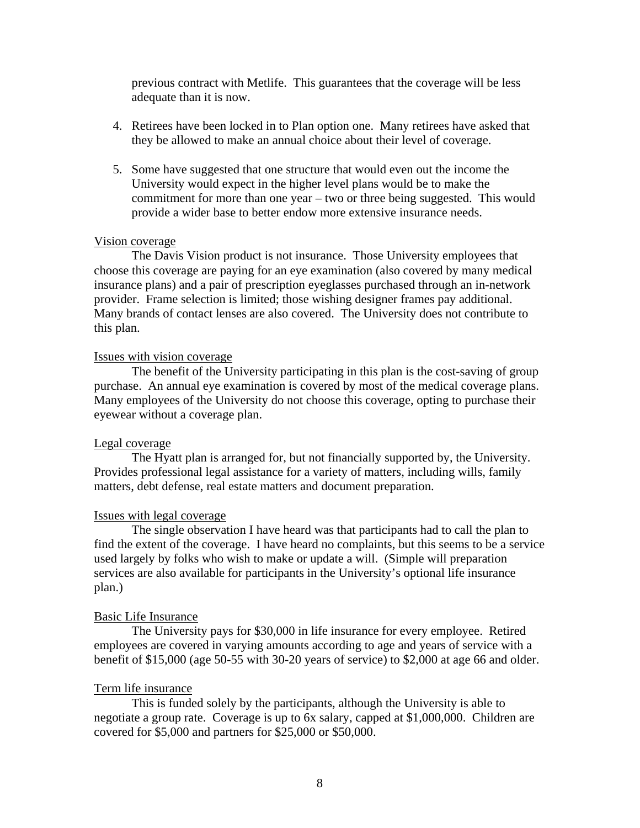previous contract with Metlife. This guarantees that the coverage will be less adequate than it is now.

- 4. Retirees have been locked in to Plan option one. Many retirees have asked that they be allowed to make an annual choice about their level of coverage.
- 5. Some have suggested that one structure that would even out the income the University would expect in the higher level plans would be to make the commitment for more than one year – two or three being suggested. This would provide a wider base to better endow more extensive insurance needs.

### Vision coverage

 The Davis Vision product is not insurance. Those University employees that choose this coverage are paying for an eye examination (also covered by many medical insurance plans) and a pair of prescription eyeglasses purchased through an in-network provider. Frame selection is limited; those wishing designer frames pay additional. Many brands of contact lenses are also covered. The University does not contribute to this plan.

## Issues with vision coverage

 The benefit of the University participating in this plan is the cost-saving of group purchase. An annual eye examination is covered by most of the medical coverage plans. Many employees of the University do not choose this coverage, opting to purchase their eyewear without a coverage plan.

# Legal coverage

 The Hyatt plan is arranged for, but not financially supported by, the University. Provides professional legal assistance for a variety of matters, including wills, family matters, debt defense, real estate matters and document preparation.

#### Issues with legal coverage

 The single observation I have heard was that participants had to call the plan to find the extent of the coverage. I have heard no complaints, but this seems to be a service used largely by folks who wish to make or update a will. (Simple will preparation services are also available for participants in the University's optional life insurance plan.)

### Basic Life Insurance

 The University pays for \$30,000 in life insurance for every employee. Retired employees are covered in varying amounts according to age and years of service with a benefit of \$15,000 (age 50-55 with 30-20 years of service) to \$2,000 at age 66 and older.

#### Term life insurance

 This is funded solely by the participants, although the University is able to negotiate a group rate. Coverage is up to 6x salary, capped at \$1,000,000. Children are covered for \$5,000 and partners for \$25,000 or \$50,000.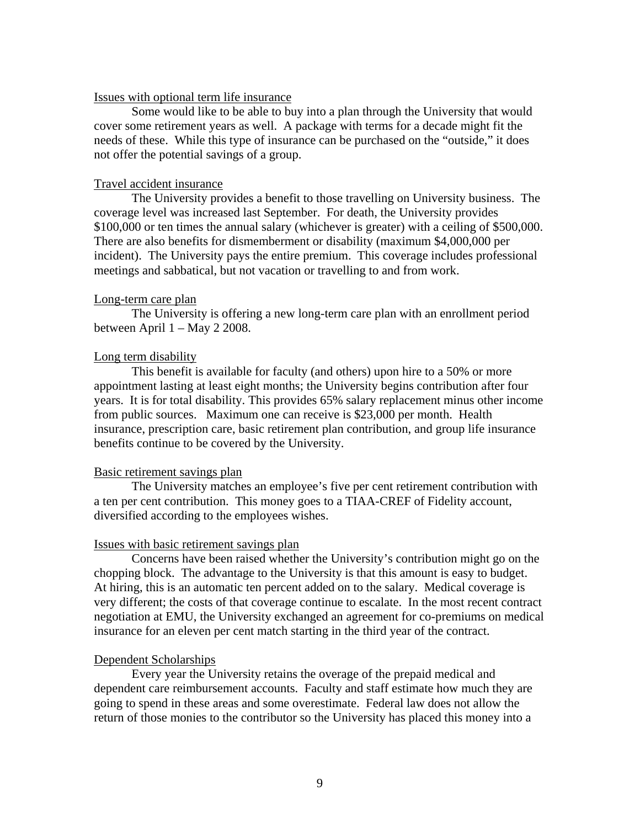## Issues with optional term life insurance

 Some would like to be able to buy into a plan through the University that would cover some retirement years as well. A package with terms for a decade might fit the needs of these. While this type of insurance can be purchased on the "outside," it does not offer the potential savings of a group.

## Travel accident insurance

 The University provides a benefit to those travelling on University business. The coverage level was increased last September. For death, the University provides \$100,000 or ten times the annual salary (whichever is greater) with a ceiling of \$500,000. There are also benefits for dismemberment or disability (maximum \$4,000,000 per incident). The University pays the entire premium. This coverage includes professional meetings and sabbatical, but not vacation or travelling to and from work.

### Long-term care plan

 The University is offering a new long-term care plan with an enrollment period between April 1 – May 2 2008.

### Long term disability

 This benefit is available for faculty (and others) upon hire to a 50% or more appointment lasting at least eight months; the University begins contribution after four years. It is for total disability. This provides 65% salary replacement minus other income from public sources. Maximum one can receive is \$23,000 per month. Health insurance, prescription care, basic retirement plan contribution, and group life insurance benefits continue to be covered by the University.

## Basic retirement savings plan

 The University matches an employee's five per cent retirement contribution with a ten per cent contribution. This money goes to a TIAA-CREF of Fidelity account, diversified according to the employees wishes.

#### Issues with basic retirement savings plan

 Concerns have been raised whether the University's contribution might go on the chopping block. The advantage to the University is that this amount is easy to budget. At hiring, this is an automatic ten percent added on to the salary. Medical coverage is very different; the costs of that coverage continue to escalate. In the most recent contract negotiation at EMU, the University exchanged an agreement for co-premiums on medical insurance for an eleven per cent match starting in the third year of the contract.

#### Dependent Scholarships

Every year the University retains the overage of the prepaid medical and dependent care reimbursement accounts. Faculty and staff estimate how much they are going to spend in these areas and some overestimate. Federal law does not allow the return of those monies to the contributor so the University has placed this money into a